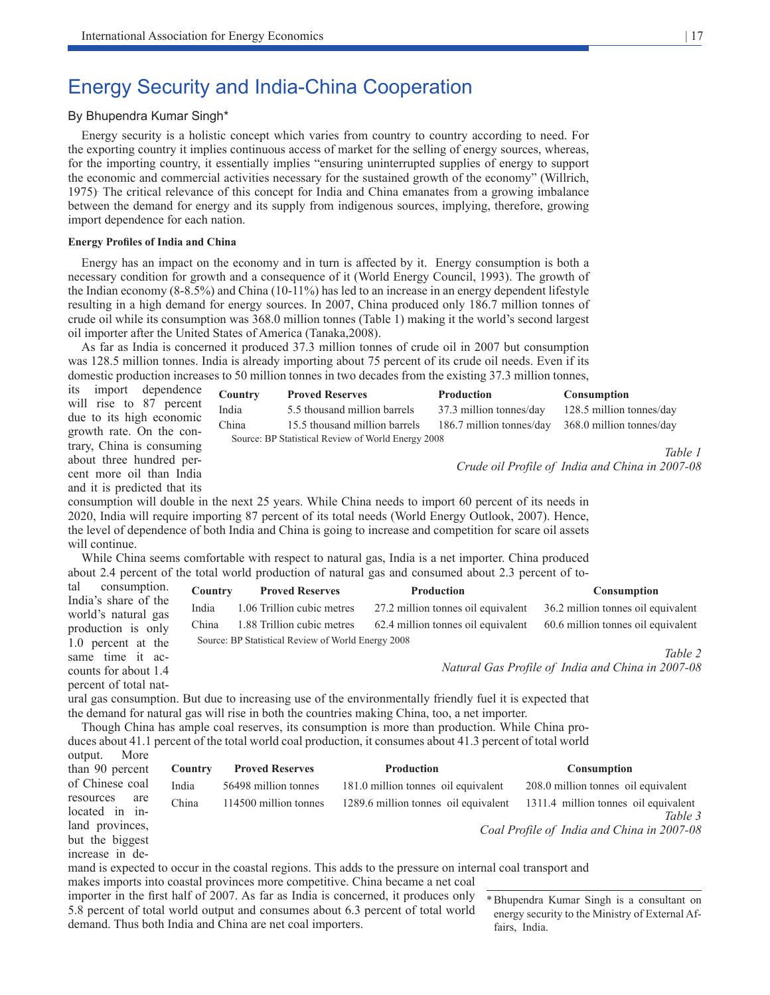# Energy Security and India-China Cooperation

# By Bhupendra Kumar Singh\*

Energy security is a holistic concept which varies from country to country according to need. For the exporting country it implies continuous access of market for the selling of energy sources, whereas, for the importing country, it essentially implies "ensuring uninterrupted supplies of energy to support the economic and commercial activities necessary for the sustained growth of the economy" (Willrich, 1975). The critical relevance of this concept for India and China emanates from a growing imbalance between the demand for energy and its supply from indigenous sources, implying, therefore, growing import dependence for each nation.

#### **Energy Profiles of India and China**

Energy has an impact on the economy and in turn is affected by it. Energy consumption is both a necessary condition for growth and a consequence of it (World Energy Council, 1993). The growth of the Indian economy (8-8.5%) and China (10-11%) has led to an increase in an energy dependent lifestyle resulting in a high demand for energy sources. In 2007, China produced only 186.7 million tonnes of crude oil while its consumption was 368.0 million tonnes (Table 1) making it the world's second largest oil importer after the United States of America (Tanaka,2008).

As far as India is concerned it produced 37.3 million tonnes of crude oil in 2007 but consumption was 128.5 million tonnes. India is already importing about 75 percent of its crude oil needs. Even if its domestic production increases to 50 million tonnes in two decades from the existing 37.3 million tonnes,

| its import dependence                                 | Country | <b>Proved Reserves</b>                             | <b>Production</b>        | <b>Consumption</b>                              |
|-------------------------------------------------------|---------|----------------------------------------------------|--------------------------|-------------------------------------------------|
| will rise to 87 percent                               | India   | 5.5 thousand million barrels                       | 37.3 million tonnes/day  | 128.5 million tonnes/day                        |
| due to its high economic                              | China   | 15.5 thousand million barrels                      | 186.7 million tonnes/day | 368.0 million tonnes/day                        |
| growth rate. On the con-<br>trary, China is consuming |         | Source: BP Statistical Review of World Energy 2008 |                          |                                                 |
| about three hundred per-                              |         |                                                    |                          | Table 1                                         |
| cent more oil than India                              |         |                                                    |                          | Crude oil Profile of India and China in 2007-08 |
| and it is predicted that its                          |         |                                                    |                          |                                                 |

consumption will double in the next 25 years. While China needs to import 60 percent of its needs in 2020, India will require importing 87 percent of its total needs (World Energy Outlook, 2007). Hence, the level of dependence of both India and China is going to increase and competition for scare oil assets will continue.

While China seems comfortable with respect to natural gas, India is a net importer. China produced about 2.4 percent of the total world production of natural gas and consumed about 2.3 percent of to-

| tal<br>consumption.                       | Country | <b>Proved Reserves</b>                             | <b>Production</b>                                                                                        | Consumption                                       |
|-------------------------------------------|---------|----------------------------------------------------|----------------------------------------------------------------------------------------------------------|---------------------------------------------------|
| India's share of the                      | India   | 1.06 Trillion cubic metres                         | 27.2 million tonnes oil equivalent                                                                       | 36.2 million tonnes oil equivalent                |
| world's natural gas<br>production is only | China   | 1.88 Trillion cubic metres                         | 62.4 million tonnes oil equivalent                                                                       | 60.6 million tonnes oil equivalent                |
| 1.0 percent at the                        |         | Source: BP Statistical Review of World Energy 2008 |                                                                                                          |                                                   |
| same time it ac-                          |         |                                                    |                                                                                                          | Table 2                                           |
| counts for about 1.4                      |         |                                                    |                                                                                                          | Natural Gas Profile of India and China in 2007-08 |
| percent of total nat-                     |         |                                                    |                                                                                                          |                                                   |
|                                           |         |                                                    | ural gas consumption. But due to increasing use of the environmentally friendly fuel it is expected that |                                                   |

the demand for natural gas will rise in both the countries making China, too, a net importer.

Though China has ample coal reserves, its consumption is more than production. While China produces about 41.1 percent of the total world coal production, it consumes about 41.3 percent of total world output. More

| than 90 percent                    | <b>Country</b> | <b>Proved Reserves</b> | Production                                                                                                 | Consumption                                     |
|------------------------------------|----------------|------------------------|------------------------------------------------------------------------------------------------------------|-------------------------------------------------|
| of Chinese coal                    | India          | 56498 million tonnes   | 181.0 million tonnes oil equivalent                                                                        | 208.0 million tonnes oil equivalent             |
| resources<br>are<br>located in in- | China          | 114500 million tonnes  | 1289.6 million tonnes oil equivalent                                                                       | 1311.4 million tonnes oil equivalent<br>Table 3 |
| land provinces,<br>but the biggest |                |                        |                                                                                                            | Coal Profile of India and China in 2007-08      |
| increase in de-                    |                |                        | mend is expected to coour in the coestel regions. This adds to the pressure on internal east trensport and |                                                 |

mand is expected to occur in the coastal regions. This adds to the pressure on internal coal transport and

makes imports into coastal provinces more competitive. China became a net coal importer in the first half of 2007. As far as India is concerned, it produces only 5.8 percent of total world output and consumes about 6.3 percent of total world demand. Thus both India and China are net coal importers.

\*Bhupendra Kumar Singh is a consultant on energy security to the Ministry of External Affairs, India.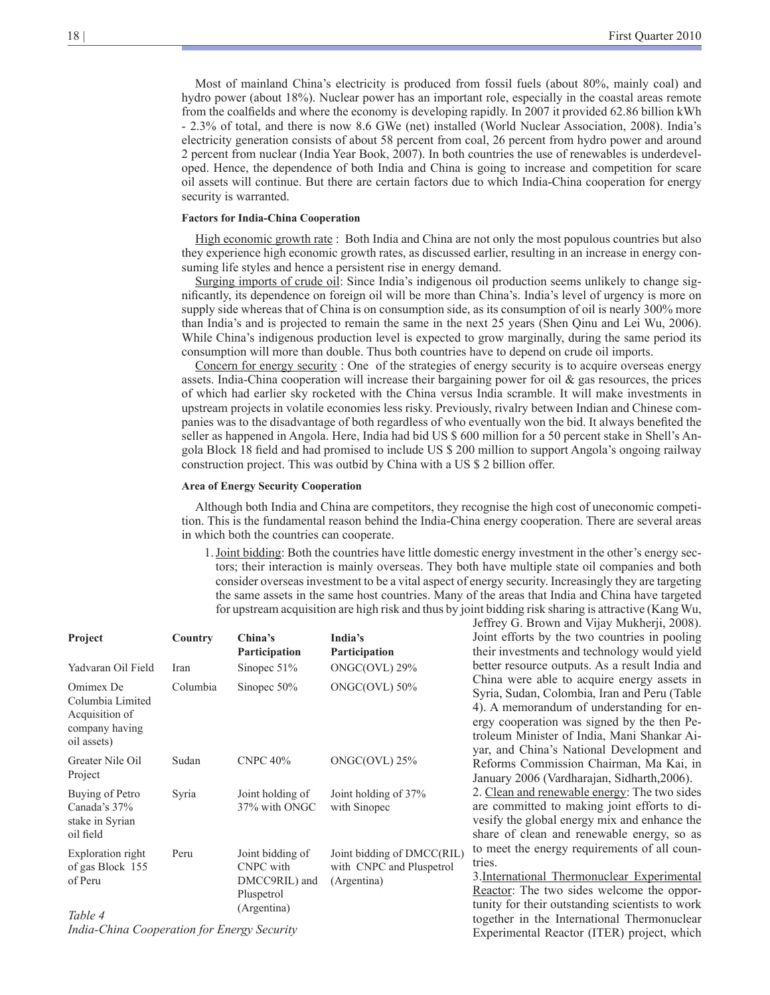Most of mainland China's electricity is produced from fossil fuels (about 80%, mainly coal) and hydro power (about 18%). Nuclear power has an important role, especially in the coastal areas remote from the coalfields and where the economy is developing rapidly. In 2007 it provided 62.86 billion kWh - 2.3% of total, and there is now 8.6 GWe (net) installed (World Nuclear Association, 2008). India's electricity generation consists of about 58 percent from coal, 26 percent from hydro power and around 2 percent from nuclear (India Year Book, 2007). In both countries the use of renewables is underdeveloped. Hence, the dependence of both India and China is going to increase and competition for scare oil assets will continue. But there are certain factors due to which India-China cooperation for energy security is warranted.

#### **Factors for India-China Cooperation**

High economic growth rate : Both India and China are not only the most populous countries but also they experience high economic growth rates, as discussed earlier, resulting in an increase in energy consuming life styles and hence a persistent rise in energy demand.

Surging imports of crude oil: Since India's indigenous oil production seems unlikely to change significantly, its dependence on foreign oil will be more than China's. India's level of urgency is more on supply side whereas that of China is on consumption side, as its consumption of oil is nearly 300% more than India's and is projected to remain the same in the next 25 years (Shen Qinu and Lei Wu, 2006). While China's indigenous production level is expected to grow marginally, during the same period its consumption will more than double. Thus both countries have to depend on crude oil imports.

Concern for energy security : One of the strategies of energy security is to acquire overseas energy assets. India-China cooperation will increase their bargaining power for oil & gas resources, the prices of which had earlier sky rocketed with the China versus India scramble. It will make investments in upstream projects in volatile economies less risky. Previously, rivalry between Indian and Chinese companies was to the disadvantage of both regardless of who eventually won the bid. It always benefited the seller as happened in Angola. Here, India had bid US \$ 600 million for a 50 percent stake in Shell's Angola Block 18 field and had promised to include US \$ 200 million to support Angola's ongoing railway construction project. This was outbid by China with a US \$ 2 billion offer.

#### **Area of Energy Security Cooperation**

Although both India and China are competitors, they recognise the high cost of uneconomic competition. This is the fundamental reason behind the India-China energy cooperation. There are several areas in which both the countries can cooperate.

1.Joint bidding: Both the countries have little domestic energy investment in the other's energy sectors; their interaction is mainly overseas. They both have multiple state oil companies and both consider overseas investment to be a vital aspect of energy security. Increasingly they are targeting the same assets in the same host countries. Many of the areas that India and China have targeted for upstream acquisition are high risk and thus by joint bidding risk sharing is attractive (Kang Wu,

Jeffrey G. Brown and Vijay Mukherji, 2008).

Experimental Reactor (ITER) project, which

| Project                                                                          | Country  | China's<br>Participation                                                           | India's<br>Participation                                              | Joint efforts by the two countries in pooling<br>their investments and technology would yield                                                                                                                                          |  |
|----------------------------------------------------------------------------------|----------|------------------------------------------------------------------------------------|-----------------------------------------------------------------------|----------------------------------------------------------------------------------------------------------------------------------------------------------------------------------------------------------------------------------------|--|
| Yadvaran Oil Field                                                               | Iran     | Sinopec $51\%$                                                                     | ONGC(OVL) 29%                                                         | better resource outputs. As a result India and                                                                                                                                                                                         |  |
| Omimex De<br>Columbia Limited<br>Acquisition of<br>company having<br>oil assets) | Columbia | Sinopec $50\%$                                                                     | ONGC(OVL) 50%                                                         | China were able to acquire energy assets in<br>Syria, Sudan, Colombia, Iran and Peru (Table<br>4). A memorandum of understanding for en-<br>ergy cooperation was signed by the then Pe-<br>troleum Minister of India, Mani Shankar Ai- |  |
| Greater Nile Oil<br>Project                                                      | Sudan    | <b>CNPC 40%</b>                                                                    | $ONGC(OVL)$ 25%                                                       | yar, and China's National Development and<br>Reforms Commission Chairman, Ma Kai, in<br>January 2006 (Vardharajan, Sidharth, 2006).                                                                                                    |  |
| Buying of Petro<br>Canada's 37%<br>stake in Syrian<br>oil field                  | Syria    | Joint holding of<br>37% with ONGC                                                  | Joint holding of 37%<br>with Sinopec                                  | 2. Clean and renewable energy: The two sides<br>are committed to making joint efforts to di-<br>vesify the global energy mix and enhance the<br>share of clean and renewable energy, so as                                             |  |
| Exploration right<br>of gas Block 155<br>of Peru                                 | Peru     | Joint bidding of<br><b>CNPC</b> with<br>DMCC9RIL) and<br>Pluspetrol<br>(Argentina) | Joint bidding of DMCC(RIL)<br>with CNPC and Pluspetrol<br>(Argentina) | to meet the energy requirements of all coun-<br>tries.<br>3. International Thermonuclear Experimental<br>Reactor: The two sides welcome the oppor-<br>tunity for their outstanding scientists to work                                  |  |
| Table 4                                                                          |          |                                                                                    |                                                                       | together in the International Thermonuclear                                                                                                                                                                                            |  |

*India-China Cooperation for Energy Security*